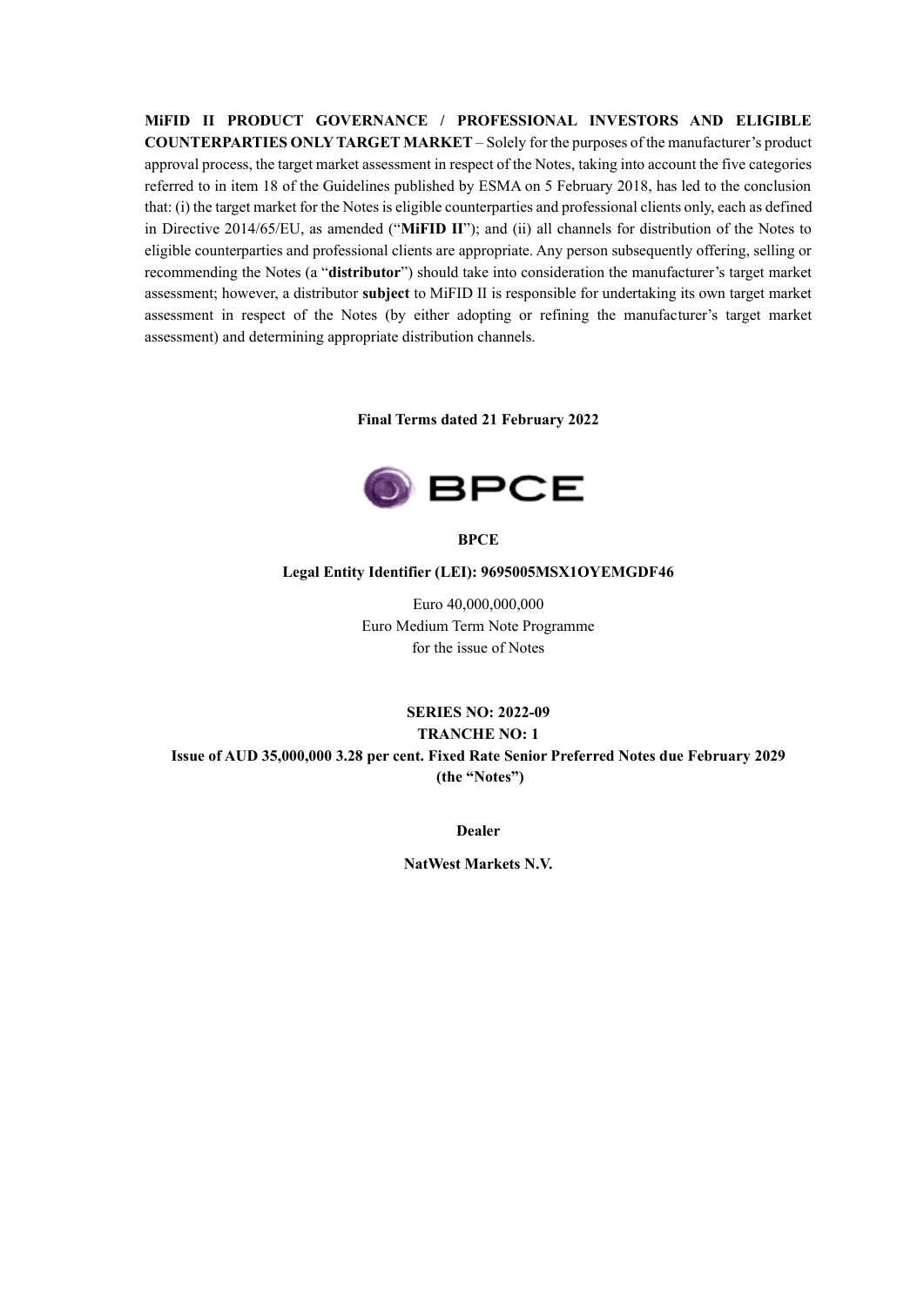**MiFID II PRODUCT GOVERNANCE / PROFESSIONAL INVESTORS AND ELIGIBLE COUNTERPARTIES ONLY TARGET MARKET** – Solely for the purposes of the manufacturer's product approval process, the target market assessment in respect of the Notes, taking into account the five categories referred to in item 18 of the Guidelines published by ESMA on 5 February 2018, has led to the conclusion that: (i) the target market for the Notes is eligible counterparties and professional clients only, each as defined in Directive 2014/65/EU, as amended ("**MiFID II**"); and (ii) all channels for distribution of the Notes to eligible counterparties and professional clients are appropriate. Any person subsequently offering, selling or recommending the Notes (a "**distributor**") should take into consideration the manufacturer's target market assessment; however, a distributor **subject** to MiFID II is responsible for undertaking its own target market assessment in respect of the Notes (by either adopting or refining the manufacturer's target market assessment) and determining appropriate distribution channels.

**Final Terms dated 21 February 2022**



**BPCE**

#### **Legal Entity Identifier (LEI): 9695005MSX1OYEMGDF46**

Euro 40,000,000,000 Euro Medium Term Note Programme for the issue of Notes

# **SERIES NO: 2022-09 TRANCHE NO: 1 Issue of AUD 35,000,000 3.28 per cent. Fixed Rate Senior Preferred Notes due February 2029 (the "Notes")**

**Dealer**

**NatWest Markets N.V.**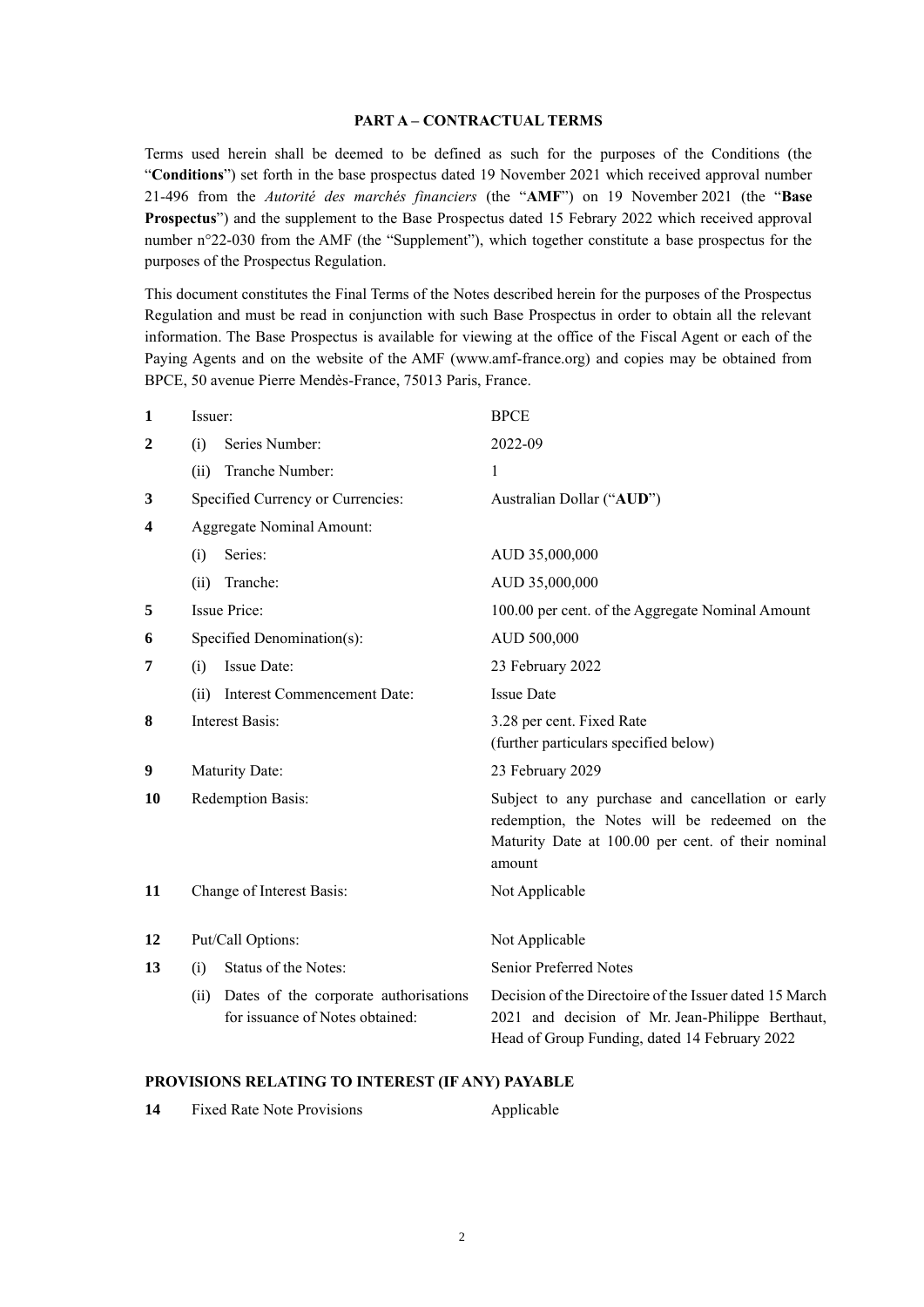#### **PART A – CONTRACTUAL TERMS**

Terms used herein shall be deemed to be defined as such for the purposes of the Conditions (the "**Conditions**") set forth in the base prospectus dated 19 November 2021 which received approval number 21-496 from the *Autorité des marchés financiers* (the "**AMF**") on 19 November 2021 (the "**Base Prospectus**") and the supplement to the Base Prospectus dated 15 Febrary 2022 which received approval number n°22-030 from the AMF (the "Supplement"), which together constitute a base prospectus for the purposes of the Prospectus Regulation.

This document constitutes the Final Terms of the Notes described herein for the purposes of the Prospectus Regulation and must be read in conjunction with such Base Prospectus in order to obtain all the relevant information. The Base Prospectus is available for viewing at the office of the Fiscal Agent or each of the Paying Agents and on the website of the AMF (www.amf-france.org) and copies may be obtained from BPCE, 50 avenue Pierre Mendès-France, 75013 Paris, France.

| $\mathbf{1}$            | Issuer:                                                                          | <b>BPCE</b>                                                                                                                                                        |
|-------------------------|----------------------------------------------------------------------------------|--------------------------------------------------------------------------------------------------------------------------------------------------------------------|
| $\boldsymbol{2}$        | Series Number:<br>(i)                                                            | 2022-09                                                                                                                                                            |
|                         | Tranche Number:<br>(ii)                                                          | 1                                                                                                                                                                  |
| 3                       | Specified Currency or Currencies:                                                | Australian Dollar ("AUD")                                                                                                                                          |
| $\overline{\mathbf{4}}$ | Aggregate Nominal Amount:                                                        |                                                                                                                                                                    |
|                         | Series:<br>(i)                                                                   | AUD 35,000,000                                                                                                                                                     |
|                         | Tranche:<br>(ii)                                                                 | AUD 35,000,000                                                                                                                                                     |
| 5                       | <b>Issue Price:</b>                                                              | 100.00 per cent. of the Aggregate Nominal Amount                                                                                                                   |
| 6                       | Specified Denomination(s):                                                       | AUD 500,000                                                                                                                                                        |
| 7                       | Issue Date:<br>(i)                                                               | 23 February 2022                                                                                                                                                   |
|                         | Interest Commencement Date:<br>(ii)                                              | <b>Issue Date</b>                                                                                                                                                  |
| 8                       | <b>Interest Basis:</b>                                                           | 3.28 per cent. Fixed Rate<br>(further particulars specified below)                                                                                                 |
| 9                       | Maturity Date:                                                                   | 23 February 2029                                                                                                                                                   |
| 10                      | Redemption Basis:                                                                | Subject to any purchase and cancellation or early<br>redemption, the Notes will be redeemed on the<br>Maturity Date at 100.00 per cent. of their nominal<br>amount |
| 11                      | Change of Interest Basis:                                                        | Not Applicable                                                                                                                                                     |
| 12                      | Put/Call Options:                                                                | Not Applicable                                                                                                                                                     |
| 13                      | Status of the Notes:<br>(i)                                                      | <b>Senior Preferred Notes</b>                                                                                                                                      |
|                         | Dates of the corporate authorisations<br>(ii)<br>for issuance of Notes obtained: | Decision of the Directoire of the Issuer dated 15 March<br>2021 and decision of Mr. Jean-Philippe Berthaut,<br>Head of Group Funding, dated 14 February 2022       |

### **PROVISIONS RELATING TO INTEREST (IF ANY) PAYABLE**

| 14 | <b>Fixed Rate Note Provisions</b> | Applicable |
|----|-----------------------------------|------------|
|----|-----------------------------------|------------|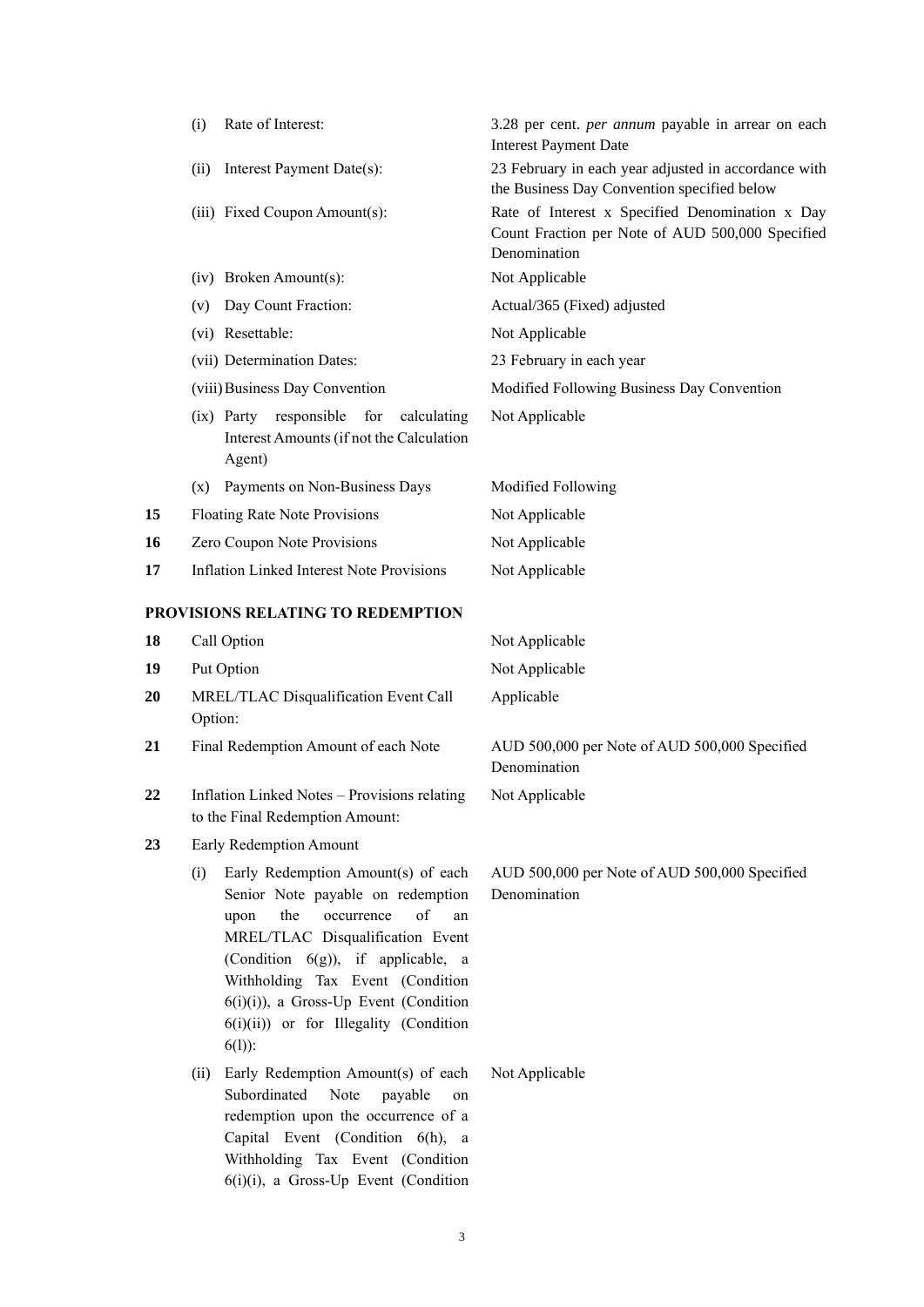|    | Rate of Interest:<br>(i)                                                                                                                                                                                                                                                                                                            | 3.28 per cent. per annum payable in arrear on each<br><b>Interest Payment Date</b>                                  |
|----|-------------------------------------------------------------------------------------------------------------------------------------------------------------------------------------------------------------------------------------------------------------------------------------------------------------------------------------|---------------------------------------------------------------------------------------------------------------------|
|    | Interest Payment Date(s):<br>(ii)                                                                                                                                                                                                                                                                                                   | 23 February in each year adjusted in accordance with<br>the Business Day Convention specified below                 |
|    | (iii) Fixed Coupon Amount(s):                                                                                                                                                                                                                                                                                                       | Rate of Interest x Specified Denomination x Day<br>Count Fraction per Note of AUD 500,000 Specified<br>Denomination |
|    | (iv) Broken Amount(s):                                                                                                                                                                                                                                                                                                              | Not Applicable                                                                                                      |
|    | Day Count Fraction:<br>(v)                                                                                                                                                                                                                                                                                                          | Actual/365 (Fixed) adjusted                                                                                         |
|    | (vi) Resettable:                                                                                                                                                                                                                                                                                                                    | Not Applicable                                                                                                      |
|    | (vii) Determination Dates:                                                                                                                                                                                                                                                                                                          | 23 February in each year                                                                                            |
|    | (viii) Business Day Convention                                                                                                                                                                                                                                                                                                      | Modified Following Business Day Convention                                                                          |
|    | (ix) Party responsible<br>for<br>calculating<br>Interest Amounts (if not the Calculation<br>Agent)                                                                                                                                                                                                                                  | Not Applicable                                                                                                      |
|    | Payments on Non-Business Days<br>(x)                                                                                                                                                                                                                                                                                                | Modified Following                                                                                                  |
| 15 | Floating Rate Note Provisions                                                                                                                                                                                                                                                                                                       | Not Applicable                                                                                                      |
| 16 | Zero Coupon Note Provisions                                                                                                                                                                                                                                                                                                         | Not Applicable                                                                                                      |
| 17 | Inflation Linked Interest Note Provisions                                                                                                                                                                                                                                                                                           | Not Applicable                                                                                                      |
|    | PROVISIONS RELATING TO REDEMPTION                                                                                                                                                                                                                                                                                                   |                                                                                                                     |
| 18 | Call Option                                                                                                                                                                                                                                                                                                                         | Not Applicable                                                                                                      |
| 19 | Put Option                                                                                                                                                                                                                                                                                                                          | Not Applicable                                                                                                      |
| 20 | MREL/TLAC Disqualification Event Call<br>Option:                                                                                                                                                                                                                                                                                    | Applicable                                                                                                          |
| 21 | Final Redemption Amount of each Note                                                                                                                                                                                                                                                                                                | AUD 500,000 per Note of AUD 500,000 Specified<br>Denomination                                                       |
| 22 | Inflation Linked Notes - Provisions relating<br>to the Final Redemption Amount:                                                                                                                                                                                                                                                     | Not Applicable                                                                                                      |
| 23 | Early Redemption Amount                                                                                                                                                                                                                                                                                                             |                                                                                                                     |
|    | Early Redemption Amount(s) of each<br>(i)<br>Senior Note payable on redemption<br>of<br>the<br>occurrence<br>upon<br>MREL/TLAC Disqualification Event<br>(Condition $6(g)$ ), if applicable, a<br>Withholding Tax Event (Condition<br>$6(i)(i)$ , a Gross-Up Event (Condition<br>6(i)(ii)) or for Illegality (Condition<br>$6(1)$ : | AUD 500,000 per Note of AUD 500,000 Specified<br>Denomination<br>an                                                 |
|    | Early Redemption Amount(s) of each<br>(ii)<br>Subordinated<br>Note<br>payable<br>redemption upon the occurrence of a<br>Capital Event (Condition 6(h), a<br>Withholding Tax Event (Condition<br>6(i)(i), a Gross-Up Event (Condition                                                                                                | Not Applicable<br>on                                                                                                |

3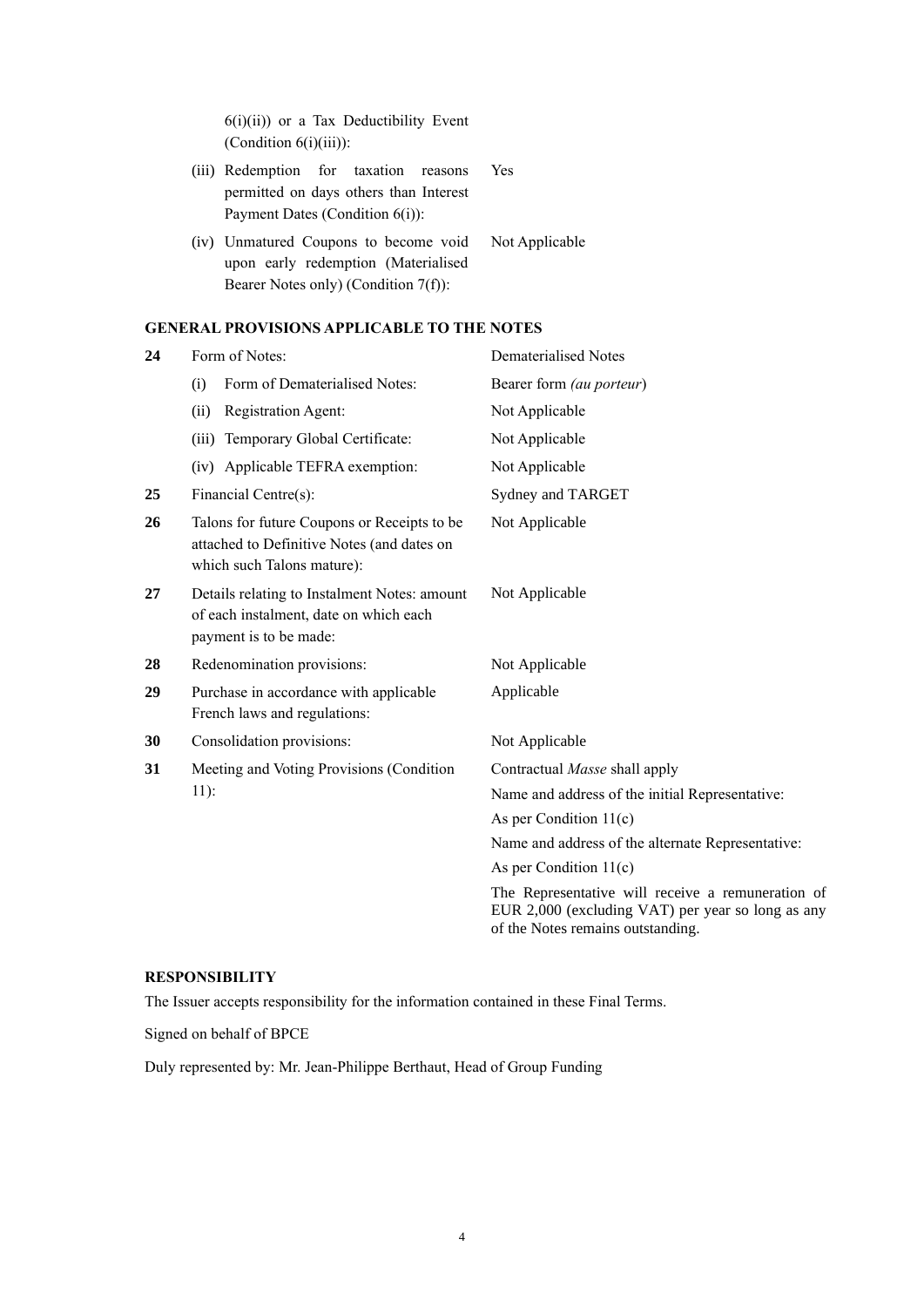6(i)(ii)) or a Tax Deductibility Event (Condition 6(i)(iii)):

- (iii) Redemption for taxation reasons permitted on days others than Interest Payment Dates (Condition 6(i)): Yes
- (iv) Unmatured Coupons to become void upon early redemption (Materialised Bearer Notes only) (Condition 7(f)): Not Applicable

### **GENERAL PROVISIONS APPLICABLE TO THE NOTES**

| 24 | Form of Notes:                                                                                                          | <b>Dematerialised Notes</b>                                                                                                                 |
|----|-------------------------------------------------------------------------------------------------------------------------|---------------------------------------------------------------------------------------------------------------------------------------------|
|    | Form of Dematerialised Notes:<br>(i)                                                                                    | Bearer form (au porteur)                                                                                                                    |
|    | Registration Agent:<br>(ii)                                                                                             | Not Applicable                                                                                                                              |
|    | Temporary Global Certificate:<br>(iii)                                                                                  | Not Applicable                                                                                                                              |
|    | (iv) Applicable TEFRA exemption:                                                                                        | Not Applicable                                                                                                                              |
| 25 | Financial Centre(s):                                                                                                    | Sydney and TARGET                                                                                                                           |
| 26 | Talons for future Coupons or Receipts to be<br>attached to Definitive Notes (and dates on<br>which such Talons mature): | Not Applicable                                                                                                                              |
| 27 | Details relating to Instalment Notes: amount<br>of each instalment, date on which each<br>payment is to be made:        | Not Applicable                                                                                                                              |
| 28 | Redenomination provisions:                                                                                              | Not Applicable                                                                                                                              |
| 29 | Purchase in accordance with applicable<br>French laws and regulations:                                                  | Applicable                                                                                                                                  |
| 30 | Consolidation provisions:                                                                                               | Not Applicable                                                                                                                              |
| 31 | Meeting and Voting Provisions (Condition                                                                                | Contractual Masse shall apply                                                                                                               |
|    | $11$ :                                                                                                                  | Name and address of the initial Representative:                                                                                             |
|    |                                                                                                                         | As per Condition $11(c)$                                                                                                                    |
|    |                                                                                                                         | Name and address of the alternate Representative:                                                                                           |
|    |                                                                                                                         | As per Condition $11(c)$                                                                                                                    |
|    |                                                                                                                         | The Representative will receive a remuneration of<br>EUR 2,000 (excluding VAT) per year so long as any<br>of the Notes remains outstanding. |

## **RESPONSIBILITY**

The Issuer accepts responsibility for the information contained in these Final Terms.

Signed on behalf of BPCE

Duly represented by: Mr. Jean-Philippe Berthaut, Head of Group Funding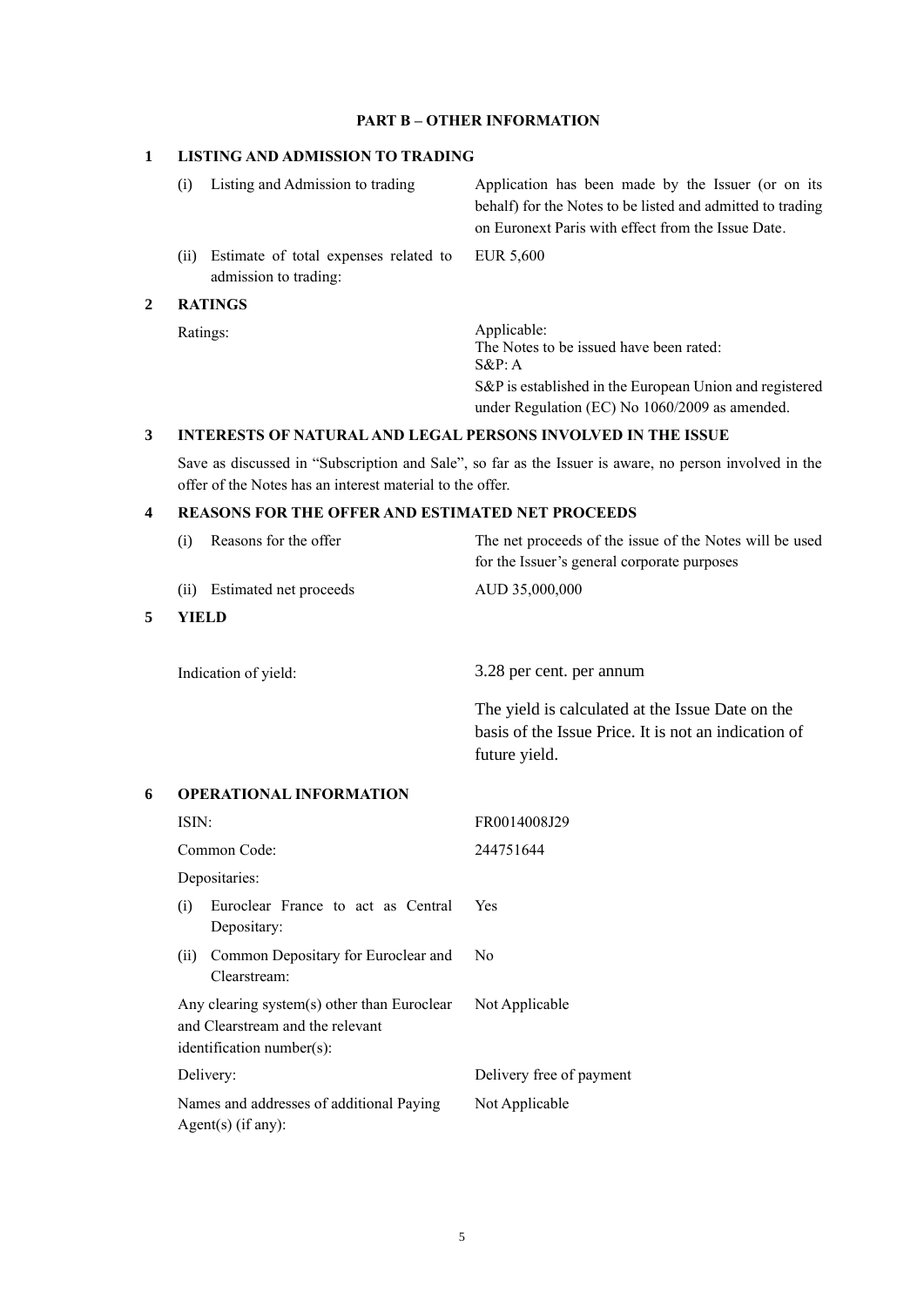### **PART B – OTHER INFORMATION**

### **1 LISTING AND ADMISSION TO TRADING**

(ii) Estimate of total expenses related to admission to trading:

### **2 RATINGS**

(i) Listing and Admission to trading Application has been made by the Issuer (or on its behalf) for the Notes to be listed and admitted to trading on Euronext Paris with effect from the Issue Date.

EUR 5,600

Ratings: Applicable: The Notes to be issued have been rated: S&P: A S&P is established in the European Union and registered under Regulation (EC) No 1060/2009 as amended.

### **3 INTERESTS OF NATURAL AND LEGAL PERSONS INVOLVED IN THE ISSUE**

Save as discussed in "Subscription and Sale", so far as the Issuer is aware, no person involved in the offer of the Notes has an interest material to the offer.

### **4 REASONS FOR THE OFFER AND ESTIMATED NET PROCEEDS**

|   | Reasons for the offer<br>(i)                                                                                 | The net proceeds of the issue of the Notes will be used<br>for the Issuer's general corporate purposes                    |
|---|--------------------------------------------------------------------------------------------------------------|---------------------------------------------------------------------------------------------------------------------------|
|   | (ii) Estimated net proceeds                                                                                  | AUD 35,000,000                                                                                                            |
| 5 | <b>YIELD</b>                                                                                                 |                                                                                                                           |
|   |                                                                                                              |                                                                                                                           |
|   | Indication of yield:                                                                                         | 3.28 per cent. per annum                                                                                                  |
|   |                                                                                                              | The yield is calculated at the Issue Date on the<br>basis of the Issue Price. It is not an indication of<br>future yield. |
| 6 | <b>OPERATIONAL INFORMATION</b>                                                                               |                                                                                                                           |
|   | ISIN:                                                                                                        | FR0014008J29                                                                                                              |
|   | Common Code:                                                                                                 | 244751644                                                                                                                 |
|   | Depositaries:                                                                                                |                                                                                                                           |
|   | Euroclear France to act as Central<br>(i)<br>Depositary:                                                     | Yes                                                                                                                       |
|   | Common Depositary for Euroclear and<br>(ii)<br>Clearstream:                                                  | N <sub>0</sub>                                                                                                            |
|   | Any clearing system(s) other than Euroclear<br>and Clearstream and the relevant<br>identification number(s): | Not Applicable                                                                                                            |
|   | Delivery:                                                                                                    | Delivery free of payment                                                                                                  |
|   | Names and addresses of additional Paying<br>$Agent(s)$ (if any):                                             | Not Applicable                                                                                                            |